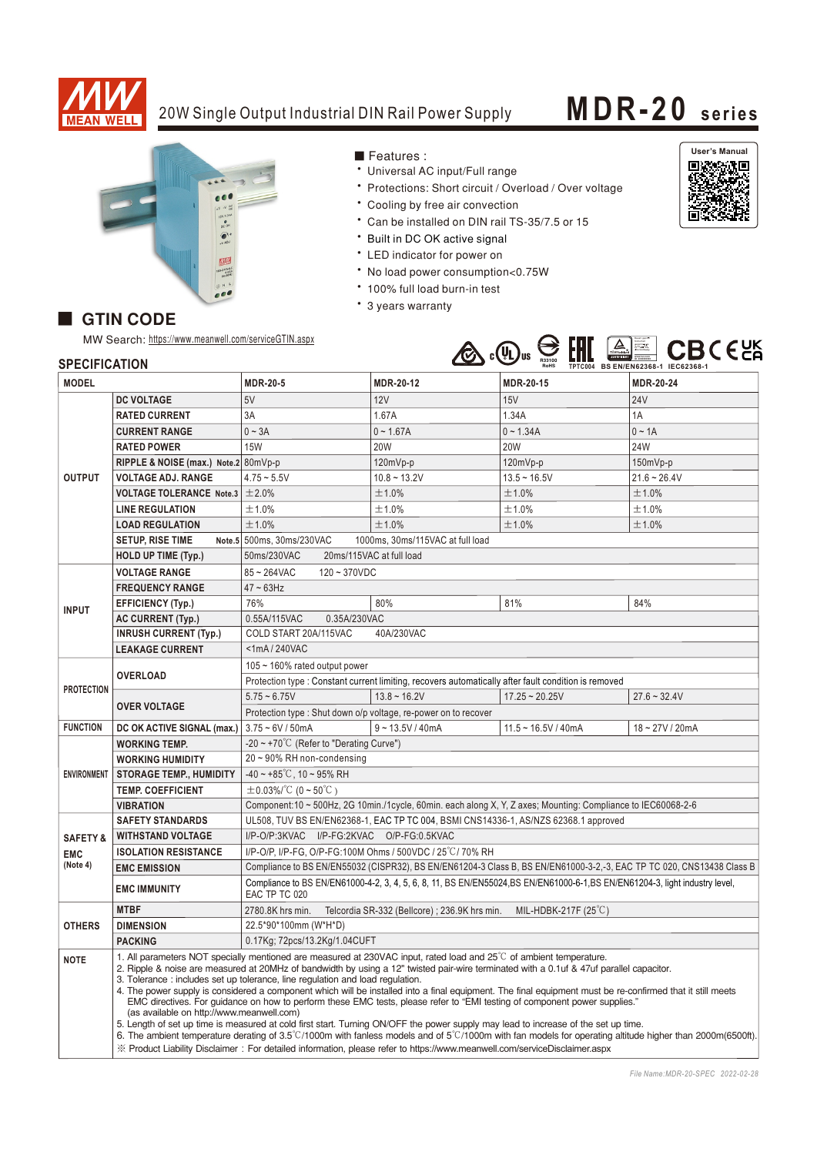

## 20W Single Output Industrial DIN Rail Power Supply **MDR-20** series

• Universal AC input/Full range

\* Cooling by free air convection

\* Built in DC OK active signal • LED indicator for power on

\* 100% full load burn-in test

• 3 years warranty

■ Features :

• No load power consumption<0.75W

\* Protections: Short circuit / Overload / Over voltage

\* Can be installed on DIN rail TS-35/7.5 or 15



## GTIN CODE

MW Search: https://www.meanwell.com/serviceGTIN.aspx



## **SPECIFICATION**

| SPECIFICATION          |                                                                                                                                                                                                                                                                                                                                                                                                                                                                                                                                                                                                                                                                                                                                                                                                                                                                                                                                                                                                                                                                                                                           |                                                                                                                                               |                                               | TPTC004 BS EN/EN62368-1 IEC62368-1<br>RoHS |                |
|------------------------|---------------------------------------------------------------------------------------------------------------------------------------------------------------------------------------------------------------------------------------------------------------------------------------------------------------------------------------------------------------------------------------------------------------------------------------------------------------------------------------------------------------------------------------------------------------------------------------------------------------------------------------------------------------------------------------------------------------------------------------------------------------------------------------------------------------------------------------------------------------------------------------------------------------------------------------------------------------------------------------------------------------------------------------------------------------------------------------------------------------------------|-----------------------------------------------------------------------------------------------------------------------------------------------|-----------------------------------------------|--------------------------------------------|----------------|
| <b>MODEL</b>           |                                                                                                                                                                                                                                                                                                                                                                                                                                                                                                                                                                                                                                                                                                                                                                                                                                                                                                                                                                                                                                                                                                                           | <b>MDR-20-5</b>                                                                                                                               | MDR-20-12                                     | <b>MDR-20-15</b>                           | MDR-20-24      |
| <b>OUTPUT</b>          | <b>DC VOLTAGE</b>                                                                                                                                                                                                                                                                                                                                                                                                                                                                                                                                                                                                                                                                                                                                                                                                                                                                                                                                                                                                                                                                                                         | 5V                                                                                                                                            | 12V                                           | 15V                                        | <b>24V</b>     |
|                        | <b>RATED CURRENT</b>                                                                                                                                                                                                                                                                                                                                                                                                                                                                                                                                                                                                                                                                                                                                                                                                                                                                                                                                                                                                                                                                                                      | 3A                                                                                                                                            | 1.67A                                         | 1.34A                                      | 1A             |
|                        | <b>CURRENT RANGE</b>                                                                                                                                                                                                                                                                                                                                                                                                                                                                                                                                                                                                                                                                                                                                                                                                                                                                                                                                                                                                                                                                                                      | $0 \sim 3A$                                                                                                                                   | $0 - 1.67A$                                   | $0 - 1.34A$                                | $0 \sim 1A$    |
|                        | <b>RATED POWER</b>                                                                                                                                                                                                                                                                                                                                                                                                                                                                                                                                                                                                                                                                                                                                                                                                                                                                                                                                                                                                                                                                                                        | <b>15W</b>                                                                                                                                    | <b>20W</b>                                    | <b>20W</b>                                 | <b>24W</b>     |
|                        | RIPPLE & NOISE (max.) Note.2 80mVp-p                                                                                                                                                                                                                                                                                                                                                                                                                                                                                                                                                                                                                                                                                                                                                                                                                                                                                                                                                                                                                                                                                      |                                                                                                                                               | 120mVp-p                                      | 120mVp-p                                   | $150mVp-p$     |
|                        | <b>VOLTAGE ADJ. RANGE</b>                                                                                                                                                                                                                                                                                                                                                                                                                                                                                                                                                                                                                                                                                                                                                                                                                                                                                                                                                                                                                                                                                                 | $4.75 - 5.5V$                                                                                                                                 | $10.8 - 13.2V$                                | $13.5 - 16.5V$                             | $21.6 - 26.4V$ |
|                        | <b>VOLTAGE TOLERANCE Note.3 <math>\pm</math>2.0%</b>                                                                                                                                                                                                                                                                                                                                                                                                                                                                                                                                                                                                                                                                                                                                                                                                                                                                                                                                                                                                                                                                      |                                                                                                                                               | ±1.0%                                         | ±1.0%                                      | ±1.0%          |
|                        | <b>LINE REGULATION</b>                                                                                                                                                                                                                                                                                                                                                                                                                                                                                                                                                                                                                                                                                                                                                                                                                                                                                                                                                                                                                                                                                                    | ±1.0%                                                                                                                                         | ±1.0%                                         | ±1.0%                                      | ±1.0%          |
|                        | <b>LOAD REGULATION</b>                                                                                                                                                                                                                                                                                                                                                                                                                                                                                                                                                                                                                                                                                                                                                                                                                                                                                                                                                                                                                                                                                                    | ±1.0%                                                                                                                                         | ±1.0%                                         | ±1.0%                                      | ±1.0%          |
|                        | <b>SETUP, RISE TIME</b>                                                                                                                                                                                                                                                                                                                                                                                                                                                                                                                                                                                                                                                                                                                                                                                                                                                                                                                                                                                                                                                                                                   | Note.5 500ms, 30ms/230VAC<br>1000ms, 30ms/115VAC at full load                                                                                 |                                               |                                            |                |
|                        | <b>HOLD UP TIME (Typ.)</b>                                                                                                                                                                                                                                                                                                                                                                                                                                                                                                                                                                                                                                                                                                                                                                                                                                                                                                                                                                                                                                                                                                | 50ms/230VAC<br>20ms/115VAC at full load                                                                                                       |                                               |                                            |                |
|                        | <b>VOLTAGE RANGE</b>                                                                                                                                                                                                                                                                                                                                                                                                                                                                                                                                                                                                                                                                                                                                                                                                                                                                                                                                                                                                                                                                                                      | $85 - 264$ VAC<br>$120 - 370VDC$                                                                                                              |                                               |                                            |                |
| <b>INPUT</b>           | <b>FREQUENCY RANGE</b>                                                                                                                                                                                                                                                                                                                                                                                                                                                                                                                                                                                                                                                                                                                                                                                                                                                                                                                                                                                                                                                                                                    | $47 \sim 63$ Hz                                                                                                                               |                                               |                                            |                |
|                        | <b>EFFICIENCY (Typ.)</b>                                                                                                                                                                                                                                                                                                                                                                                                                                                                                                                                                                                                                                                                                                                                                                                                                                                                                                                                                                                                                                                                                                  | 76%                                                                                                                                           | 80%                                           | 81%                                        | 84%            |
|                        | <b>AC CURRENT (Typ.)</b>                                                                                                                                                                                                                                                                                                                                                                                                                                                                                                                                                                                                                                                                                                                                                                                                                                                                                                                                                                                                                                                                                                  | 0.35A/230VAC<br>0.55A/115VAC                                                                                                                  |                                               |                                            |                |
|                        | <b>INRUSH CURRENT (Typ.)</b>                                                                                                                                                                                                                                                                                                                                                                                                                                                                                                                                                                                                                                                                                                                                                                                                                                                                                                                                                                                                                                                                                              | COLD START 20A/115VAC<br>40A/230VAC                                                                                                           |                                               |                                            |                |
|                        | <b>LEAKAGE CURRENT</b>                                                                                                                                                                                                                                                                                                                                                                                                                                                                                                                                                                                                                                                                                                                                                                                                                                                                                                                                                                                                                                                                                                    | <1mA/240VAC                                                                                                                                   |                                               |                                            |                |
| <b>PROTECTION</b>      | <b>OVERLOAD</b>                                                                                                                                                                                                                                                                                                                                                                                                                                                                                                                                                                                                                                                                                                                                                                                                                                                                                                                                                                                                                                                                                                           | 105 $\sim$ 160% rated output power                                                                                                            |                                               |                                            |                |
|                        |                                                                                                                                                                                                                                                                                                                                                                                                                                                                                                                                                                                                                                                                                                                                                                                                                                                                                                                                                                                                                                                                                                                           | Protection type : Constant current limiting, recovers automatically after fault condition is removed                                          |                                               |                                            |                |
|                        | <b>OVER VOLTAGE</b>                                                                                                                                                                                                                                                                                                                                                                                                                                                                                                                                                                                                                                                                                                                                                                                                                                                                                                                                                                                                                                                                                                       | $5.75 - 6.75V$                                                                                                                                | $13.8 - 16.2V$                                | $17.25 - 20.25V$                           | $27.6 - 32.4V$ |
|                        |                                                                                                                                                                                                                                                                                                                                                                                                                                                                                                                                                                                                                                                                                                                                                                                                                                                                                                                                                                                                                                                                                                                           | Protection type : Shut down o/p voltage, re-power on to recover                                                                               |                                               |                                            |                |
| <b>FUNCTION</b>        | DC OK ACTIVE SIGNAL (max.)                                                                                                                                                                                                                                                                                                                                                                                                                                                                                                                                                                                                                                                                                                                                                                                                                                                                                                                                                                                                                                                                                                | $3.75 - 6V / 50mA$                                                                                                                            | $9 - 13.5V / 40mA$                            | $11.5 - 16.5V / 40mA$                      | 18~27V/20mA    |
| <b>ENVIRONMENT</b>     | <b>WORKING TEMP.</b>                                                                                                                                                                                                                                                                                                                                                                                                                                                                                                                                                                                                                                                                                                                                                                                                                                                                                                                                                                                                                                                                                                      | -20 $\sim$ +70°C (Refer to "Derating Curve")                                                                                                  |                                               |                                            |                |
|                        | <b>WORKING HUMIDITY</b>                                                                                                                                                                                                                                                                                                                                                                                                                                                                                                                                                                                                                                                                                                                                                                                                                                                                                                                                                                                                                                                                                                   | 20~90% RH non-condensing                                                                                                                      |                                               |                                            |                |
|                        | <b>STORAGE TEMP., HUMIDITY</b>                                                                                                                                                                                                                                                                                                                                                                                                                                                                                                                                                                                                                                                                                                                                                                                                                                                                                                                                                                                                                                                                                            | $-40 \sim +85^{\circ}$ C, 10 ~ 95% RH                                                                                                         |                                               |                                            |                |
|                        | <b>TEMP, COEFFICIENT</b>                                                                                                                                                                                                                                                                                                                                                                                                                                                                                                                                                                                                                                                                                                                                                                                                                                                                                                                                                                                                                                                                                                  | $\pm$ 0.03%/°C (0 ~ 50°C)                                                                                                                     |                                               |                                            |                |
|                        | <b>VIBRATION</b>                                                                                                                                                                                                                                                                                                                                                                                                                                                                                                                                                                                                                                                                                                                                                                                                                                                                                                                                                                                                                                                                                                          | Component:10 ~ 500Hz, 2G 10min./1cycle, 60min. each along X, Y, Z axes; Mounting: Compliance to IEC60068-2-6                                  |                                               |                                            |                |
|                        | UL508, TUV BS EN/EN62368-1, EAC TP TC 004, BSMI CNS14336-1, AS/NZS 62368.1 approved<br><b>SAFETY STANDARDS</b>                                                                                                                                                                                                                                                                                                                                                                                                                                                                                                                                                                                                                                                                                                                                                                                                                                                                                                                                                                                                            |                                                                                                                                               |                                               |                                            |                |
| <b>SAFETY &amp;</b>    | <b>WITHSTAND VOLTAGE</b>                                                                                                                                                                                                                                                                                                                                                                                                                                                                                                                                                                                                                                                                                                                                                                                                                                                                                                                                                                                                                                                                                                  | I/P-O/P:3KVAC I/P-FG:2KVAC O/P-FG:0.5KVAC                                                                                                     |                                               |                                            |                |
| <b>EMC</b><br>(Note 4) | <b>ISOLATION RESISTANCE</b>                                                                                                                                                                                                                                                                                                                                                                                                                                                                                                                                                                                                                                                                                                                                                                                                                                                                                                                                                                                                                                                                                               | I/P-O/P, I/P-FG, O/P-FG:100M Ohms / 500VDC / 25 °C / 70% RH                                                                                   |                                               |                                            |                |
|                        | <b>EMC EMISSION</b>                                                                                                                                                                                                                                                                                                                                                                                                                                                                                                                                                                                                                                                                                                                                                                                                                                                                                                                                                                                                                                                                                                       | Compliance to BS EN/EN55032 (CISPR32), BS EN/EN61204-3 Class B, BS EN/EN61000-3-2,-3, EAC TP TC 020, CNS13438 Class B                         |                                               |                                            |                |
|                        | <b>EMC IMMUNITY</b>                                                                                                                                                                                                                                                                                                                                                                                                                                                                                                                                                                                                                                                                                                                                                                                                                                                                                                                                                                                                                                                                                                       | Compliance to BS EN/EN61000-4-2, 3, 4, 5, 6, 8, 11, BS EN/EN55024, BS EN/EN61000-6-1, BS EN/EN61204-3, light industry level,<br>EAC TP TC 020 |                                               |                                            |                |
| <b>OTHERS</b>          | <b>MTBF</b>                                                                                                                                                                                                                                                                                                                                                                                                                                                                                                                                                                                                                                                                                                                                                                                                                                                                                                                                                                                                                                                                                                               | 2780.8K hrs min.                                                                                                                              | Telcordia SR-332 (Bellcore) ; 236.9K hrs min. | MIL-HDBK-217F (25 $°C$ )                   |                |
|                        | <b>DIMENSION</b>                                                                                                                                                                                                                                                                                                                                                                                                                                                                                                                                                                                                                                                                                                                                                                                                                                                                                                                                                                                                                                                                                                          | 22.5*90*100mm (W*H*D)                                                                                                                         |                                               |                                            |                |
|                        | <b>PACKING</b>                                                                                                                                                                                                                                                                                                                                                                                                                                                                                                                                                                                                                                                                                                                                                                                                                                                                                                                                                                                                                                                                                                            | 0.17Kg; 72pcs/13.2Kg/1.04CUFT                                                                                                                 |                                               |                                            |                |
| <b>NOTE</b>            | 1. All parameters NOT specially mentioned are measured at 230VAC input, rated load and 25°C of ambient temperature.<br>2. Ripple & noise are measured at 20MHz of bandwidth by using a 12" twisted pair-wire terminated with a 0.1uf & 47uf parallel capacitor.<br>3. Tolerance: includes set up tolerance, line regulation and load regulation.<br>4. The power supply is considered a component which will be installed into a final equipment. The final equipment must be re-confirmed that it still meets<br>EMC directives. For guidance on how to perform these EMC tests, please refer to "EMI testing of component power supplies."<br>(as available on http://www.meanwell.com)<br>5. Length of set up time is measured at cold first start. Turning ON/OFF the power supply may lead to increase of the set up time.<br>6. The ambient temperature derating of 3.5°C/1000m with fanless models and of 5°C/1000m with fan models for operating altitude higher than 2000m(6500ft).<br>X Product Liability Disclaimer: For detailed information, please refer to https://www.meanwell.com/serviceDisclaimer.aspx |                                                                                                                                               |                                               |                                            |                |